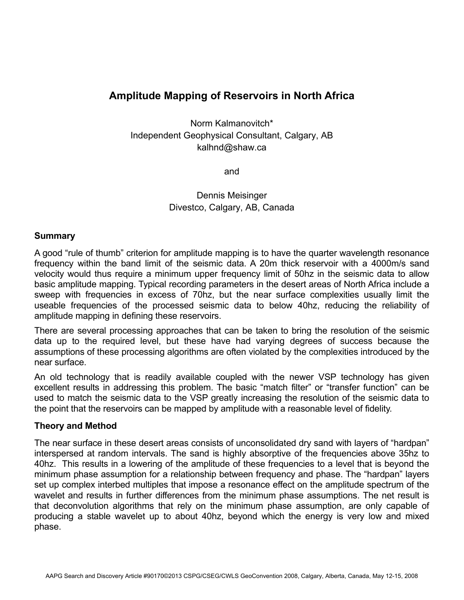# **Amplitude Mapping of Reservoirs in North Africa**

Norm Kalmanovitch\* Independent Geophysical Consultant, Calgary, AB kalhnd@shaw.ca

and

Dennis Meisinger Divestco, Calgary, AB, Canada

#### **Summary**

A good "rule of thumb" criterion for amplitude mapping is to have the quarter wavelength resonance frequency within the band limit of the seismic data. A 20m thick reservoir with a 4000m/s sand velocity would thus require a minimum upper frequency limit of 50hz in the seismic data to allow basic amplitude mapping. Typical recording parameters in the desert areas of North Africa include a sweep with frequencies in excess of 70hz, but the near surface complexities usually limit the useable frequencies of the processed seismic data to below 40hz, reducing the reliability of amplitude mapping in defining these reservoirs.

There are several processing approaches that can be taken to bring the resolution of the seismic data up to the required level, but these have had varying degrees of success because the assumptions of these processing algorithms are often violated by the complexities introduced by the near surface.

An old technology that is readily available coupled with the newer VSP technology has given excellent results in addressing this problem. The basic "match filter" or "transfer function" can be used to match the seismic data to the VSP greatly increasing the resolution of the seismic data to the point that the reservoirs can be mapped by amplitude with a reasonable level of fidelity.

## **Theory and Method**

The near surface in these desert areas consists of unconsolidated dry sand with layers of "hardpan" interspersed at random intervals. The sand is highly absorptive of the frequencies above 35hz to 40hz. This results in a lowering of the amplitude of these frequencies to a level that is beyond the minimum phase assumption for a relationship between frequency and phase. The "hardpan" layers set up complex interbed multiples that impose a resonance effect on the amplitude spectrum of the wavelet and results in further differences from the minimum phase assumptions. The net result is that deconvolution algorithms that rely on the minimum phase assumption, are only capable of producing a stable wavelet up to about 40hz, beyond which the energy is very low and mixed phase.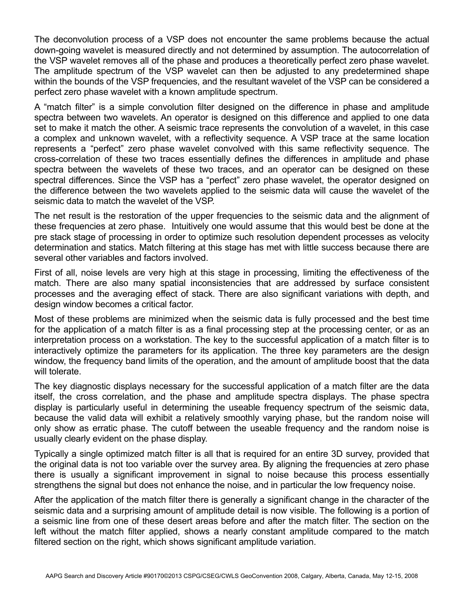The deconvolution process of a VSP does not encounter the same problems because the actual down-going wavelet is measured directly and not determined by assumption. The autocorrelation of the VSP wavelet removes all of the phase and produces a theoretically perfect zero phase wavelet. The amplitude spectrum of the VSP wavelet can then be adjusted to any predetermined shape within the bounds of the VSP frequencies, and the resultant wavelet of the VSP can be considered a perfect zero phase wavelet with a known amplitude spectrum.

A "match filter" is a simple convolution filter designed on the difference in phase and amplitude spectra between two wavelets. An operator is designed on this difference and applied to one data set to make it match the other. A seismic trace represents the convolution of a wavelet, in this case a complex and unknown wavelet, with a reflectivity sequence. A VSP trace at the same location represents a "perfect" zero phase wavelet convolved with this same reflectivity sequence. The cross-correlation of these two traces essentially defines the differences in amplitude and phase spectra between the wavelets of these two traces, and an operator can be designed on these spectral differences. Since the VSP has a "perfect" zero phase wavelet, the operator designed on the difference between the two wavelets applied to the seismic data will cause the wavelet of the seismic data to match the wavelet of the VSP.

The net result is the restoration of the upper frequencies to the seismic data and the alignment of these frequencies at zero phase. Intuitively one would assume that this would best be done at the pre stack stage of processing in order to optimize such resolution dependent processes as velocity determination and statics. Match filtering at this stage has met with little success because there are several other variables and factors involved.

First of all, noise levels are very high at this stage in processing, limiting the effectiveness of the match. There are also many spatial inconsistencies that are addressed by surface consistent processes and the averaging effect of stack. There are also significant variations with depth, and design window becomes a critical factor.

Most of these problems are minimized when the seismic data is fully processed and the best time for the application of a match filter is as a final processing step at the processing center, or as an interpretation process on a workstation. The key to the successful application of a match filter is to interactively optimize the parameters for its application. The three key parameters are the design window, the frequency band limits of the operation, and the amount of amplitude boost that the data will tolerate.

The key diagnostic displays necessary for the successful application of a match filter are the data itself, the cross correlation, and the phase and amplitude spectra displays. The phase spectra display is particularly useful in determining the useable frequency spectrum of the seismic data, because the valid data will exhibit a relatively smoothly varying phase, but the random noise will only show as erratic phase. The cutoff between the useable frequency and the random noise is usually clearly evident on the phase display.

Typically a single optimized match filter is all that is required for an entire 3D survey, provided that the original data is not too variable over the survey area. By aligning the frequencies at zero phase there is usually a significant improvement in signal to noise because this process essentially strengthens the signal but does not enhance the noise, and in particular the low frequency noise.

After the application of the match filter there is generally a significant change in the character of the seismic data and a surprising amount of amplitude detail is now visible. The following is a portion of a seismic line from one of these desert areas before and after the match filter. The section on the left without the match filter applied, shows a nearly constant amplitude compared to the match filtered section on the right, which shows significant amplitude variation.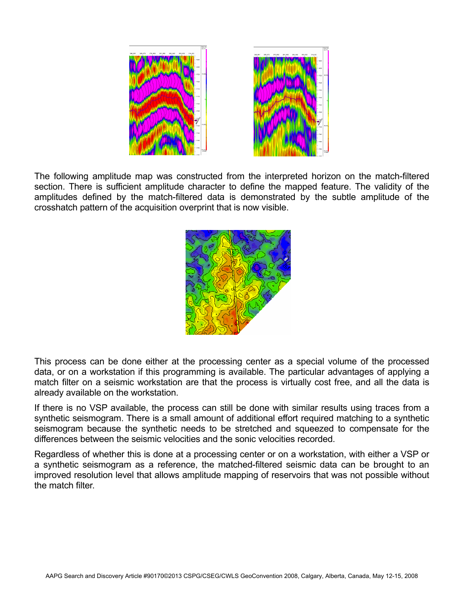

The following amplitude map was constructed from the interpreted horizon on the match-filtered section. There is sufficient amplitude character to define the mapped feature. The validity of the amplitudes defined by the match-filtered data is demonstrated by the subtle amplitude of the crosshatch pattern of the acquisition overprint that is now visible.



This process can be done either at the processing center as a special volume of the processed data, or on a workstation if this programming is available. The particular advantages of applying a match filter on a seismic workstation are that the process is virtually cost free, and all the data is already available on the workstation.

If there is no VSP available, the process can still be done with similar results using traces from a synthetic seismogram. There is a small amount of additional effort required matching to a synthetic seismogram because the synthetic needs to be stretched and squeezed to compensate for the differences between the seismic velocities and the sonic velocities recorded.

Regardless of whether this is done at a processing center or on a workstation, with either a VSP or a synthetic seismogram as a reference, the matched-filtered seismic data can be brought to an improved resolution level that allows amplitude mapping of reservoirs that was not possible without the match filter.